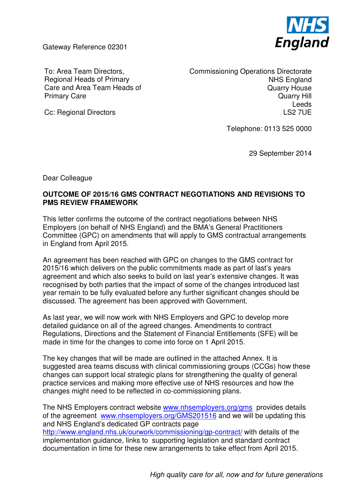Gateway Reference 02301



To: Area Team Directors, Regional Heads of Primary Care and Area Team Heads of Primary Care

Commissioning Operations Directorate NHS England Quarry House Quarry Hill Leeds LS2 7UE

Cc: Regional Directors

Telephone: 0113 525 0000

29 September 2014

Dear Colleague

## **OUTCOME OF 2015/16 GMS CONTRACT NEGOTIATIONS AND REVISIONS TO PMS REVIEW FRAMEWORK**

This letter confirms the outcome of the contract negotiations between NHS Employers (on behalf of NHS England) and the BMA's General Practitioners Committee (GPC) on amendments that will apply to GMS contractual arrangements in England from April 2015.

An agreement has been reached with GPC on changes to the GMS contract for 2015/16 which delivers on the public commitments made as part of last's years agreement and which also seeks to build on last year's extensive changes. It was recognised by both parties that the impact of some of the changes introduced last year remain to be fully evaluated before any further significant changes should be discussed. The agreement has been approved with Government.

As last year, we will now work with NHS Employers and GPC to develop more detailed guidance on all of the agreed changes. Amendments to contract Regulations, Directions and the Statement of Financial Entitlements (SFE) will be made in time for the changes to come into force on 1 April 2015.

The key changes that will be made are outlined in the attached Annex. It is suggested area teams discuss with clinical commissioning groups (CCGs) how these changes can support local strategic plans for strengthening the quality of general practice services and making more effective use of NHS resources and how the changes might need to be reflected in co-commissioning plans.

The NHS Employers contract website www.nhsemployers.org/gms provides details of the agreement www.nhsemployers.org/GMS201516 and we will be updating this and NHS England's dedicated GP contracts page

http://www.england.nhs.uk/ourwork/commissioning/gp-contract/ with details of the implementation guidance, links to supporting legislation and standard contract documentation in time for these new arrangements to take effect from April 2015.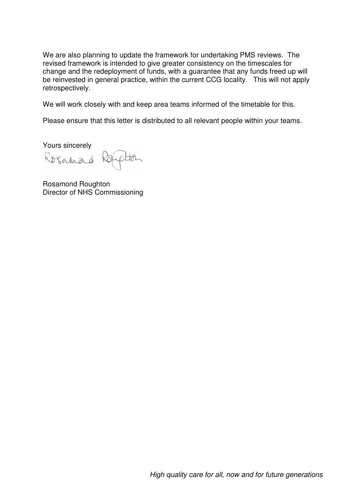We are also planning to update the framework for undertaking PMS reviews. The revised framework is intended to give greater consistency on the timescales for change and the redeployment of funds, with a guarantee that any funds freed up will be reinvested in general practice, within the current CCG locality. This will not apply retrospectively.

We will work closely with and keep area teams informed of the timetable for this.

Please ensure that this letter is distributed to all relevant people within your teams.

Yours sincerely

Rosanad phan KÒ

Rosamond Roughton Director of NHS Commissioning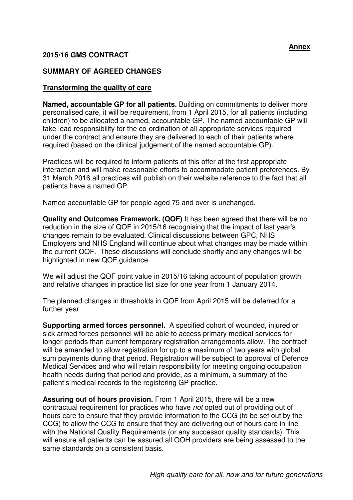## **2015/16 GMS CONTRACT**

## **SUMMARY OF AGREED CHANGES**

### **Transforming the quality of care**

**Named, accountable GP for all patients.** Building on commitments to deliver more personalised care, it will be requirement, from 1 April 2015, for all patients (including children) to be allocated a named, accountable GP. The named accountable GP will take lead responsibility for the co-ordination of all appropriate services required under the contract and ensure they are delivered to each of their patients where required (based on the clinical judgement of the named accountable GP).

Practices will be required to inform patients of this offer at the first appropriate interaction and will make reasonable efforts to accommodate patient preferences. By 31 March 2016 all practices will publish on their website reference to the fact that all patients have a named GP.

Named accountable GP for people aged 75 and over is unchanged.

**Quality and Outcomes Framework. (QOF)** It has been agreed that there will be no reduction in the size of QOF in 2015/16 recognising that the impact of last year's changes remain to be evaluated. Clinical discussions between GPC, NHS Employers and NHS England will continue about what changes may be made within the current QOF. These discussions will conclude shortly and any changes will be highlighted in new QOF guidance.

We will adjust the QOF point value in 2015/16 taking account of population growth and relative changes in practice list size for one year from 1 January 2014.

The planned changes in thresholds in QOF from April 2015 will be deferred for a further year.

**Supporting armed forces personnel.** A specified cohort of wounded, injured or sick armed forces personnel will be able to access primary medical services for longer periods than current temporary registration arrangements allow. The contract will be amended to allow registration for up to a maximum of two years with global sum payments during that period. Registration will be subject to approval of Defence Medical Services and who will retain responsibility for meeting ongoing occupation health needs during that period and provide, as a minimum, a summary of the patient's medical records to the registering GP practice.

**Assuring out of hours provision.** From 1 April 2015, there will be a new contractual requirement for practices who have not opted out of providing out of hours care to ensure that they provide information to the CCG (to be set out by the CCG) to allow the CCG to ensure that they are delivering out of hours care in line with the National Quality Requirements (or any successor quality standards). This will ensure all patients can be assured all OOH providers are being assessed to the same standards on a consistent basis.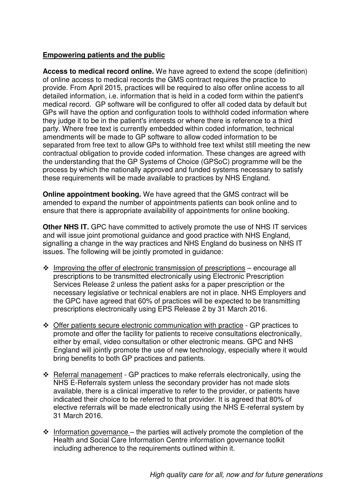# **Empowering patients and the public**

**Access to medical record online.** We have agreed to extend the scope (definition) of online access to medical records the GMS contract requires the practice to provide. From April 2015, practices will be required to also offer online access to all detailed information, i.e. information that is held in a coded form within the patient's medical record. GP software will be configured to offer all coded data by default but GPs will have the option and configuration tools to withhold coded information where they judge it to be in the patient's interests or where there is reference to a third party. Where free text is currently embedded within coded information, technical amendments will be made to GP software to allow coded information to be separated from free text to allow GPs to withhold free text whilst still meeting the new contractual obligation to provide coded information. These changes are agreed with the understanding that the GP Systems of Choice (GPSoC) programme will be the process by which the nationally approved and funded systems necessary to satisfy these requirements will be made available to practices by NHS England.

**Online appointment booking.** We have agreed that the GMS contract will be amended to expand the number of appointments patients can book online and to ensure that there is appropriate availability of appointments for online booking.

**Other NHS IT.** GPC have committed to actively promote the use of NHS IT services and will issue joint promotional guidance and good practice with NHS England, signalling a change in the way practices and NHS England do business on NHS IT issues. The following will be jointly promoted in guidance:

- $\div$  Improving the offer of electronic transmission of prescriptions encourage all prescriptions to be transmitted electronically using Electronic Prescription Services Release 2 unless the patient asks for a paper prescription or the necessary legislative or technical enablers are not in place. NHS Employers and the GPC have agreed that 60% of practices will be expected to be transmitting prescriptions electronically using EPS Release 2 by 31 March 2016.
- \* Offer patients secure electronic communication with practice GP practices to promote and offer the facility for patients to receive consultations electronically, either by email, video consultation or other electronic means. GPC and NHS England will jointly promote the use of new technology, especially where it would bring benefits to both GP practices and patients.
- Referral management GP practices to make referrals electronically, using the NHS E-Referrals system unless the secondary provider has not made slots available, there is a clinical imperative to refer to the provider, or patients have indicated their choice to be referred to that provider. It is agreed that 80% of elective referrals will be made electronically using the NHS E-referral system by 31 March 2016.
- $\cdot$  Information governance the parties will actively promote the completion of the Health and Social Care Information Centre information governance toolkit including adherence to the requirements outlined within it.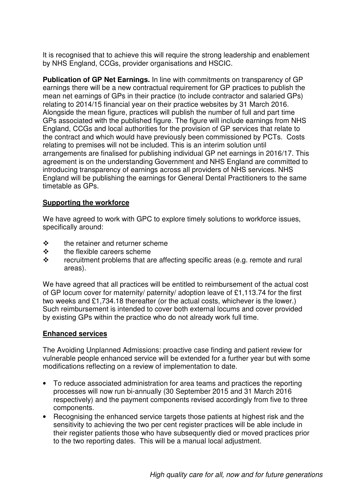It is recognised that to achieve this will require the strong leadership and enablement by NHS England, CCGs, provider organisations and HSCIC.

**Publication of GP Net Earnings.** In line with commitments on transparency of GP earnings there will be a new contractual requirement for GP practices to publish the mean net earnings of GPs in their practice (to include contractor and salaried GPs) relating to 2014/15 financial year on their practice websites by 31 March 2016. Alongside the mean figure, practices will publish the number of full and part time GPs associated with the published figure. The figure will include earnings from NHS England, CCGs and local authorities for the provision of GP services that relate to the contract and which would have previously been commissioned by PCTs. Costs relating to premises will not be included. This is an interim solution until arrangements are finalised for publishing individual GP net earnings in 2016/17. This agreement is on the understanding Government and NHS England are committed to introducing transparency of earnings across all providers of NHS services. NHS England will be publishing the earnings for General Dental Practitioners to the same timetable as GPs.

### **Supporting the workforce**

We have agreed to work with GPC to explore timely solutions to workforce issues. specifically around:

- the retainer and returner scheme
- $\div$  the flexible careers scheme
- $\mathbf{\hat{F}}$  recruitment problems that are affecting specific areas (e.g. remote and rural areas).

We have agreed that all practices will be entitled to reimbursement of the actual cost of GP locum cover for maternity/ paternity/ adoption leave of £1,113.74 for the first two weeks and £1,734.18 thereafter (or the actual costs, whichever is the lower.) Such reimbursement is intended to cover both external locums and cover provided by existing GPs within the practice who do not already work full time.

### **Enhanced services**

The Avoiding Unplanned Admissions: proactive case finding and patient review for vulnerable people enhanced service will be extended for a further year but with some modifications reflecting on a review of implementation to date.

- To reduce associated administration for area teams and practices the reporting processes will now run bi-annually (30 September 2015 and 31 March 2016 respectively) and the payment components revised accordingly from five to three components.
- Recognising the enhanced service targets those patients at highest risk and the sensitivity to achieving the two per cent register practices will be able include in their register patients those who have subsequently died or moved practices prior to the two reporting dates. This will be a manual local adjustment.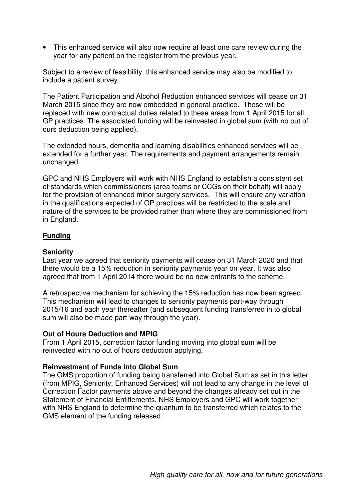• This enhanced service will also now require at least one care review during the year for any patient on the register from the previous year.

Subject to a review of feasibility, this enhanced service may also be modified to include a patient survey.

The Patient Participation and Alcohol Reduction enhanced services will cease on 31 March 2015 since they are now embedded in general practice. These will be replaced with new contractual duties related to these areas from 1 April 2015 for all GP practices. The associated funding will be reinvested in global sum (with no out of ours deduction being applied).

The extended hours, dementia and learning disabilities enhanced services will be extended for a further year. The requirements and payment arrangements remain unchanged.

GPC and NHS Employers will work with NHS England to establish a consistent set of standards which commissioners (area teams or CCGs on their behalf) will apply for the provision of enhanced minor surgery services. This will ensure any variation in the qualifications expected of GP practices will be restricted to the scale and nature of the services to be provided rather than where they are commissioned from in England.

### **Funding**

#### **Seniority**

Last year we agreed that seniority payments will cease on 31 March 2020 and that there would be a 15% reduction in seniority payments year on year. It was also agreed that from 1 April 2014 there would be no new entrants to the scheme.

A retrospective mechanism for achieving the 15% reduction has now been agreed. This mechanism will lead to changes to seniority payments part-way through 2015/16 and each year thereafter (and subsequent funding transferred in to global sum will also be made part-way through the year).

#### **Out of Hours Deduction and MPIG**

From 1 April 2015, correction factor funding moving into global sum will be reinvested with no out of hours deduction applying.

### **Reinvestment of Funds into Global Sum**

The GMS proportion of funding being transferred into Global Sum as set in this letter (from MPIG, Seniority, Enhanced Services) will not lead to any change in the level of Correction Factor payments above and beyond the changes already set out in the Statement of Financial Entitlements. NHS Employers and GPC will work together with NHS England to determine the quantum to be transferred which relates to the GMS element of the funding released.